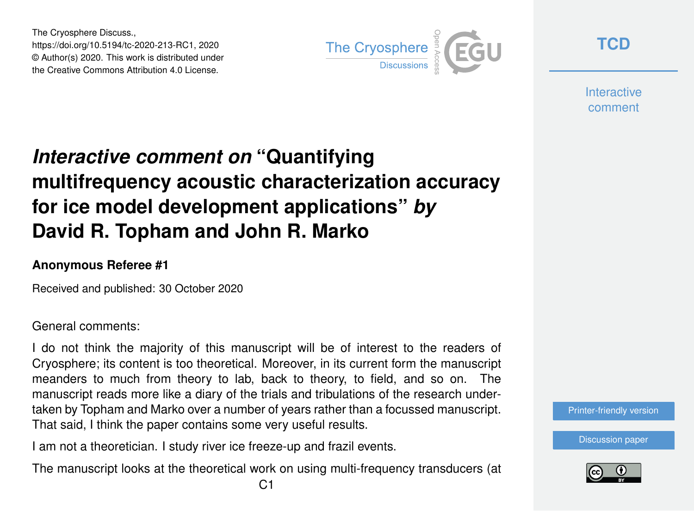The Cryosphere Discuss., https://doi.org/10.5194/tc-2020-213-RC1, 2020 © Author(s) 2020. This work is distributed under the Creative Commons Attribution 4.0 License.



**[TCD](https://tc.copernicus.org/preprints/)**

**Interactive** comment

## *Interactive comment on* **"Quantifying multifrequency acoustic characterization accuracy for ice model development applications"** *by* **David R. Topham and John R. Marko**

## **Anonymous Referee #1**

Received and published: 30 October 2020

General comments:

I do not think the majority of this manuscript will be of interest to the readers of Cryosphere; its content is too theoretical. Moreover, in its current form the manuscript meanders to much from theory to lab, back to theory, to field, and so on. The manuscript reads more like a diary of the trials and tribulations of the research undertaken by Topham and Marko over a number of years rather than a focussed manuscript. That said, I think the paper contains some very useful results.

I am not a theoretician. I study river ice freeze-up and frazil events.

The manuscript looks at the theoretical work on using multi-frequency transducers (at

[Discussion paper](https://tc.copernicus.org/preprints/tc-2020-213)